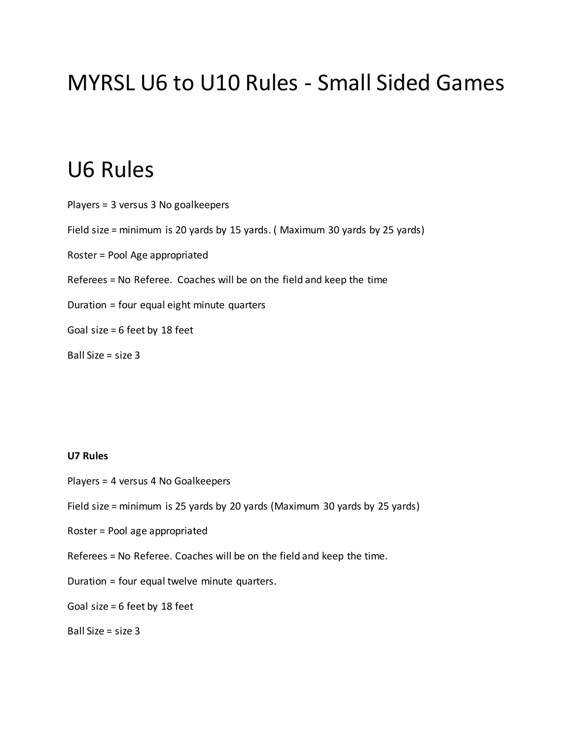# MYRSL U6 to U10 Rules - Small Sided Games

## U6 Rules

Players = 3 versus 3 No goalkeepers Field size = minimum is 20 yards by 15 yards. ( Maximum 30 yards by 25 yards) Roster = Pool Age appropriated Referees = No Referee. Coaches will be on the field and keep the time Duration = four equal eight minute quarters Goal size = 6 feet by 18 feet Ball Size = size 3

#### **U7 Rules**

- Players = 4 versus 4 No Goalkeepers
- Field size = minimum is 25 yards by 20 yards (Maximum 30 yards by 25 yards)
- Roster = Pool age appropriated
- Referees = No Referee. Coaches will be on the field and keep the time.
- Duration = four equal twelve minute quarters.
- Goal size = 6 feet by 18 feet

Ball Size = size 3